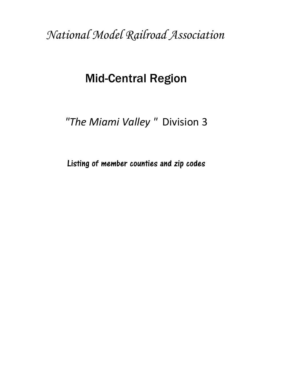*National Model Railroad Association*

# Mid-Central Region

*"The Miami Valley "* Division 3

Listing of member counties and zip codes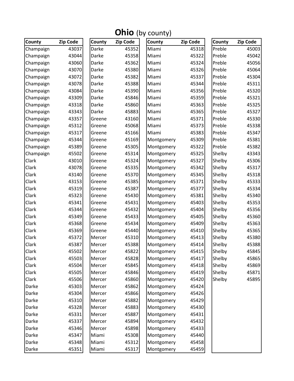| County    | Zip Code | County | <b>Zip Code</b> | $\bullet$ ( $\circ$ y county)<br>County | <b>Zip Code</b> | County | <b>Zip Code</b> |
|-----------|----------|--------|-----------------|-----------------------------------------|-----------------|--------|-----------------|
| Champaign | 43037    | Darke  | 45352           | Miami                                   | 45318           | Preble | 45003           |
| Champaign | 43044    | Darke  | 45358           | Miami                                   | 45322           | Preble | 45042           |
| Champaign | 43060    | Darke  | 45362           | Miami                                   | 45324           | Preble | 45056           |
| Champaign | 43070    | Darke  | 45380           | Miami                                   | 45326           | Preble | 45064           |
| Champaign | 43072    | Darke  | 45382           | Miami                                   | 45337           | Preble | 45304           |
| Champaign | 43078    | Darke  | 45388           | Miami                                   | 45344           | Preble | 45311           |
| Champaign | 43084    | Darke  | 45390           | Miami                                   | 45356           | Preble | 45320           |
| Champaign | 43309    | Darke  | 45846           | Miami                                   | 45359           | Preble | 45321           |
| Champaign | 43318    | Darke  | 45860           | Miami                                   | 45363           | Preble | 45325           |
| Champaign | 43343    | Darke  | 45883           | Miami                                   | 45365           | Preble | 45327           |
| Champaign | 43357    | Greene | 43160           | Miami                                   | 45371           | Preble | 45330           |
| Champaign | 45312    | Greene | 45068           | Miami                                   | 45373           | Preble | 45338           |
| Champaign | 45317    | Greene | 45166           | Miami                                   | 45383           | Preble | 45347           |
| Champaign | 45344    | Greene | 45169           | Montgomery                              | 45309           | Preble | 45381           |
| Champaign | 45389    | Greene | 45305           | Montgomery                              | 45322           | Preble | 45382           |
| Champaign | 45502    | Greene | 45314           | Montgomery                              | 45325           | Shelby | 43343           |
| Clark     | 43010    | Greene | 45324           | Montgomery                              | 45327           | Shelby | 45306           |
| Clark     | 43078    | Greene | 45335           | Montgomery                              | 45342           | Shelby | 45317           |
| Clark     | 43140    | Greene | 45370           | Montgomery                              | 45345           | Shelby | 45318           |
| Clark     | 43153    | Greene | 45385           | Montgomery                              | 45371           | Shelby | 45333           |
| Clark     | 45319    | Greene | 45387           | Montgomery                              | 45377           | Shelby | 45334           |
| Clark     | 45323    | Greene | 45430           | Montgomery                              | 45381           | Shelby | 45340           |
| Clark     | 45341    | Greene | 45431           | Montgomery                              | 45403           | Shelby | 45353           |
| Clark     | 45344    | Greene | 45432           | Montgomery                              | 45404           | Shelby | 45356           |
| Clark     | 45349    | Greene | 45433           | Montgomery                              | 45405           | Shelby | 45360           |
| Clark     | 45368    | Greene | 45434           | Montgomery                              | 45409           | Shelby | 45363           |
| Clark     | 45369    | Greene | 45440           | Montgomery                              | 45410           | Shelby | 45365           |
| Clark     | 45372    | Mercer | 45310           | Montgomery                              | 45413           | Shelby | 45380           |
| Clark     | 45387    | Mercer | 45388           | Montgomery                              | 45414           | Shelby | 45388           |
| Clark     | 45502    | Mercer | 45822           | Montgomery                              | 45415           | Shelby | 45845           |
| Clark     | 45503    | Mercer | 45828           | Montgomery                              | 45417           | Shelby | 45865           |
| Clark     | 45504    | Mercer | 45845           | Montgomery                              | 45418           | Shelby | 45869           |
| Clark     | 45505    | Mercer | 45846           | Montgomery                              | 45419           | Shelby | 45871           |
| Clark     | 45506    | Mercer | 45860           | Montgomery                              | 45420           | Shelby | 45895           |
| Darke     | 45303    | Mercer | 45862           | Montgomery                              | 45424           |        |                 |
| Darke     | 45304    | Mercer | 45866           | Montgomery                              | 45426           |        |                 |
| Darke     | 45310    | Mercer | 45882           | Montgomery                              | 45429           |        |                 |
| Darke     | 45328    | Mercer | 45883           | Montgomery                              | 45430           |        |                 |
| Darke     | 45331    | Mercer | 45887           | Montgomery                              | 45431           |        |                 |
| Darke     | 45337    | Mercer | 45894           | Montgomery                              | 45432           |        |                 |
| Darke     | 45346    | Mercer | 45898           | Montgomery                              | 45433           |        |                 |
| Darke     | 45347    | Miami  | 45308           | Montgomery                              | 45440           |        |                 |
| Darke     | 45348    | Miami  | 45312           | Montgomery                              | 45458           |        |                 |
| Darke     | 45351    | Miami  | 45317           | Montgomery                              | 45459           |        |                 |

#### Ohio (by county)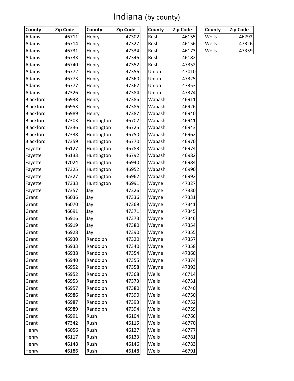#### Indiana (by county)

| County    | Zip Code | County     | Zip Code | County | Zip Code | County | Zip Code |
|-----------|----------|------------|----------|--------|----------|--------|----------|
| Adams     | 46711    | Henry      | 47302    | Rush   | 46155    | Wells  | 46792    |
| Adams     | 46714    | Henry      | 47327    | Rush   | 46156    | Wells  | 47326    |
| Adams     | 46731    | Henry      | 47334    | Rush   | 46173    | Wells  | 47359    |
| Adams     | 46733    | Henry      | 47346    | Rush   | 46182    |        |          |
| Adams     | 46740    | Henry      | 47352    | Rush   | 47352    |        |          |
| Adams     | 46772    | Henry      | 47356    | Union  | 47010    |        |          |
| Adams     | 46773    | Henry      | 47360    | Union  | 47325    |        |          |
| Adams     | 46777    | Henry      | 47362    | Union  | 47353    |        |          |
| Adams     | 47326    | Henry      | 47384    | Union  | 47374    |        |          |
| Blackford | 46938    | Henry      | 47385    | Wabash | 46911    |        |          |
| Blackford | 46953    | Henry      | 47386    | Wabash | 46926    |        |          |
| Blackford | 46989    | Henry      | 47387    | Wabash | 46940    |        |          |
| Blackford | 47303    | Huntington | 46702    | Wabash | 46941    |        |          |
| Blackford | 47336    | Huntington | 46725    | Wabash | 46943    |        |          |
| Blackford | 47338    | Huntington | 46750    | Wabash | 46962    |        |          |
| Blackford | 47359    | Huntington | 46770    | Wabash | 46970    |        |          |
| Fayette   | 46127    | Huntington | 46783    | Wabash | 46974    |        |          |
| Fayette   | 46133    | Huntington | 46792    | Wabash | 46982    |        |          |
| Fayette   | 47024    | Huntington | 46940    | Wabash | 46984    |        |          |
| Fayette   | 47325    | Huntington | 46952    | Wabash | 46990    |        |          |
| Fayette   | 47327    | Huntington | 46962    | Wabash | 46992    |        |          |
| Fayette   | 47333    | Huntington | 46991    | Wayne  | 47327    |        |          |
| Fayette   | 47357    | Jay        | 47326    | Wayne  | 47330    |        |          |
| Grant     | 46036    | Jay        | 47336    | Wayne  | 47331    |        |          |
| Grant     | 46070    | Jay        | 47369    | Wayne  | 47341    |        |          |
| Grant     | 46691    | Jay        | 47371    | Wayne  | 47345    |        |          |
| Grant     | 46916    | Jay        | 47373    | Wayne  | 47346    |        |          |
| Grant     | 46919    | Jay        | 47380    | Wayne  | 47354    |        |          |
| Grant     | 46928    | Jay        | 47390    | Wayne  | 47355    |        |          |
| Grant     | 46930    | Randolph   | 47320    | Wayne  | 47357    |        |          |
| Grant     | 46933    | Randolph   | 47340    | Wayne  | 47358    |        |          |
| Grant     | 46938    | Randolph   | 47354    | Wayne  | 47360    |        |          |
| Grant     | 46940    | Randolph   | 47355    | Wayne  | 47374    |        |          |
| Grant     | 46952    | Randolph   | 47358    | Wayne  | 47393    |        |          |
| Grant     | 46952    | Randolph   | 47368    | Wells  | 46714    |        |          |
| Grant     | 46953    | Randolph   | 47373    | Wells  | 46731    |        |          |
| Grant     | 46957    | Randolph   | 47380    | Wells  | 46740    |        |          |
| Grant     | 46986    | Randolph   | 47390    | Wells  | 46750    |        |          |
| Grant     | 46987    | Randolph   | 47393    | Wells  | 46752    |        |          |
| Grant     | 46989    | Randolph   | 47394    | Wells  | 46759    |        |          |
| Grant     | 46991    | Rush       | 46104    | Wells  | 46766    |        |          |
| Grant     | 47342    | Rush       | 46115    | Wells  | 46770    |        |          |
| Henry     | 46056    | Rush       | 46127    | Wells  | 46777    |        |          |
| Henry     | 46117    | Rush       | 46133    | Wells  | 46781    |        |          |
| Henry     | 46148    | Rush       | 46146    | Wells  | 46783    |        |          |
| Henry     | 46186    | Rush       | 46148    | Wells  | 46791    |        |          |

| County | Zip Code |
|--------|----------|
| Wells  | 46792    |
| Wells  | 47326    |
| Wells  | 47359    |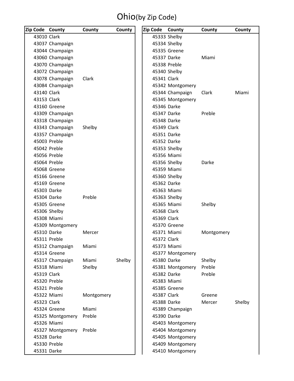### Ohio(by Zip Code)

| Zip Code County |                  | County     | County | Zip Code    | County           | County     | County |
|-----------------|------------------|------------|--------|-------------|------------------|------------|--------|
| 43010 Clark     |                  |            |        |             | 45333 Shelby     |            |        |
|                 | 43037 Champaign  |            |        |             | 45334 Shelby     |            |        |
|                 | 43044 Champaign  |            |        |             | 45335 Greene     |            |        |
|                 | 43060 Champaign  |            |        | 45337 Darke |                  | Miami      |        |
|                 | 43070 Champaign  |            |        |             | 45338 Preble     |            |        |
|                 | 43072 Champaign  |            |        |             | 45340 Shelby     |            |        |
|                 | 43078 Champaign  | Clark      |        | 45341 Clark |                  |            |        |
|                 | 43084 Champaign  |            |        |             | 45342 Montgomery |            |        |
| 43140 Clark     |                  |            |        |             | 45344 Champaign  | Clark      | Miami  |
| 43153 Clark     |                  |            |        |             | 45345 Montgomery |            |        |
|                 | 43160 Greene     |            |        | 45346 Darke |                  |            |        |
|                 | 43309 Champaign  |            |        | 45347 Darke |                  | Preble     |        |
|                 | 43318 Champaign  |            |        | 45348 Darke |                  |            |        |
|                 | 43343 Champaign  | Shelby     |        | 45349 Clark |                  |            |        |
|                 | 43357 Champaign  |            |        | 45351 Darke |                  |            |        |
|                 | 45003 Preble     |            |        | 45352 Darke |                  |            |        |
|                 | 45042 Preble     |            |        |             | 45353 Shelby     |            |        |
|                 | 45056 Preble     |            |        |             | 45356 Miami      |            |        |
|                 | 45064 Preble     |            |        |             | 45356 Shelby     | Darke      |        |
|                 | 45068 Greene     |            |        |             | 45359 Miami      |            |        |
|                 | 45166 Greene     |            |        |             | 45360 Shelby     |            |        |
|                 | 45169 Greene     |            |        | 45362 Darke |                  |            |        |
| 45303 Darke     |                  |            |        |             | 45363 Miami      |            |        |
| 45304 Darke     |                  | Preble     |        |             | 45363 Shelby     |            |        |
|                 | 45305 Greene     |            |        |             | 45365 Miami      | Shelby     |        |
|                 | 45306 Shelby     |            |        | 45368 Clark |                  |            |        |
|                 | 45308 Miami      |            |        | 45369 Clark |                  |            |        |
|                 | 45309 Montgomery |            |        |             | 45370 Greene     |            |        |
| 45310 Darke     |                  | Mercer     |        |             | 45371 Miami      | Montgomery |        |
|                 | 45311 Preble     |            |        | 45372 Clark |                  |            |        |
|                 | 45312 Champaign  | Miami      |        |             | 45373 Miami      |            |        |
|                 | 45314 Greene     |            |        |             | 45377 Montgomery |            |        |
|                 | 45317 Champaign  | Miami      | Shelby | 45380 Darke |                  | Shelby     |        |
|                 | 45318 Miami      | Shelby     |        |             | 45381 Montgomery | Preble     |        |
| 45319 Clark     |                  |            |        |             | 45382 Darke      | Preble     |        |
|                 | 45320 Preble     |            |        |             | 45383 Miami      |            |        |
|                 | 45321 Preble     |            |        |             | 45385 Greene     |            |        |
|                 | 45322 Miami      | Montgomery |        | 45387 Clark |                  | Greene     |        |
| 45323 Clark     |                  |            |        | 45388 Darke |                  | Mercer     | Shelby |
|                 | 45324 Greene     | Miami      |        |             | 45389 Champaign  |            |        |
|                 | 45325 Montgomery | Preble     |        | 45390 Darke |                  |            |        |
|                 | 45326 Miami      |            |        |             | 45403 Montgomery |            |        |
|                 | 45327 Montgomery | Preble     |        |             | 45404 Montgomery |            |        |
| 45328 Darke     |                  |            |        |             | 45405 Montgomery |            |        |
|                 | 45330 Preble     |            |        |             | 45409 Montgomery |            |        |
| 45331 Darke     |                  |            |        |             | 45410 Montgomery |            |        |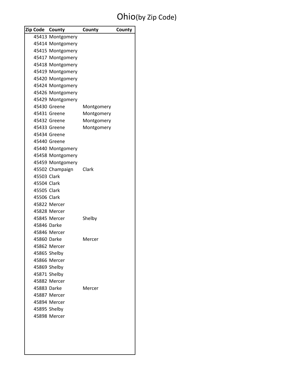### Ohio(by Zip Code)

|             | Zip Code County       | County     | County |
|-------------|-----------------------|------------|--------|
|             | 45413 Montgomery      |            |        |
|             | 45414 Montgomery      |            |        |
|             | 45415 Montgomery      |            |        |
|             | 45417 Montgomery      |            |        |
|             | 45418 Montgomery      |            |        |
|             | 45419 Montgomery      |            |        |
|             | 45420 Montgomery      |            |        |
|             | 45424 Montgomery      |            |        |
|             | 45426 Montgomery      |            |        |
|             | 45429 Montgomery      |            |        |
|             | 45430 Greene          | Montgomery |        |
|             | 45431 Greene          | Montgomery |        |
|             | 45432 Greene          | Montgomery |        |
|             | 45433 Greene          | Montgomery |        |
|             | 45434 Greene          |            |        |
|             | 45440 Greene          |            |        |
|             | 45440 Montgomery      |            |        |
|             | 45458 Montgomery      |            |        |
|             | 45459 Montgomery      |            |        |
|             | 45502 Champaign Clark |            |        |
| 45503 Clark |                       |            |        |
| 45504 Clark |                       |            |        |
| 45505 Clark |                       |            |        |
| 45506 Clark |                       |            |        |
|             | 45822 Mercer          |            |        |
|             | 45828 Mercer          |            |        |
|             | 45845 Mercer          | Shelby     |        |
| 45846 Darke |                       |            |        |
|             | 45846 Mercer          |            |        |
| 45860 Darke |                       | Mercer     |        |
|             | 45862 Mercer          |            |        |
|             | 45865 Shelby          |            |        |
|             | 45866 Mercer          |            |        |
|             | 45869 Shelby          |            |        |
|             | 45871 Shelby          |            |        |
|             | 45882 Mercer          |            |        |
| 45883 Darke |                       | Mercer     |        |
|             | 45887 Mercer          |            |        |
|             | 45894 Mercer          |            |        |
|             | 45895 Shelby          |            |        |
|             | 45898 Mercer          |            |        |
|             |                       |            |        |
|             |                       |            |        |
|             |                       |            |        |
|             |                       |            |        |
|             |                       |            |        |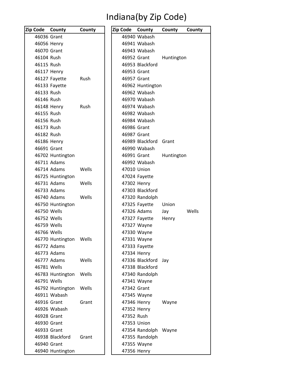## Indiana(by Zip Code)

| Zip Code County |                            | County      | Zip Code County |                              | County     | County |
|-----------------|----------------------------|-------------|-----------------|------------------------------|------------|--------|
|                 | 46036 Grant                |             |                 | 46940 Wabash                 |            |        |
|                 | 46056 Henry                |             |                 | 46941 Wabash                 |            |        |
|                 | 46070 Grant                |             |                 | 46943 Wabash                 |            |        |
| 46104 Rush      |                            |             | 46952 Grant     |                              | Huntington |        |
| 46115 Rush      |                            |             |                 | 46953 Blackford              |            |        |
|                 | 46117 Henry                |             | 46953 Grant     |                              |            |        |
|                 | 46127 Fayette              | Rush        | 46957 Grant     |                              |            |        |
|                 | 46133 Fayette              |             |                 | 46962 Huntington             |            |        |
| 46133 Rush      |                            |             |                 | 46962 Wabash                 |            |        |
| 46146 Rush      |                            |             |                 | 46970 Wabash                 |            |        |
|                 | 46148 Henry                | <b>Rush</b> |                 | 46974 Wabash                 |            |        |
| 46155 Rush      |                            |             |                 | 46982 Wabash                 |            |        |
| 46156 Rush      |                            |             |                 | 46984 Wabash                 |            |        |
| 46173 Rush      |                            |             | 46986 Grant     |                              |            |        |
| 46182 Rush      |                            |             | 46987 Grant     |                              |            |        |
|                 | 46186 Henry                |             |                 | 46989 Blackford              | Grant      |        |
|                 | 46691 Grant                |             |                 | 46990 Wabash                 |            |        |
|                 | 46702 Huntington           |             | 46991 Grant     |                              | Huntington |        |
|                 | 46711 Adams                |             |                 | 46992 Wabash                 |            |        |
|                 | 46714 Adams                | Wells       |                 | 47010 Union                  |            |        |
|                 | 46725 Huntington           |             |                 | 47024 Fayette                |            |        |
|                 | 46731 Adams                | Wells       |                 | 47302 Henry                  |            |        |
|                 | 46733 Adams                |             |                 | 47303 Blackford              |            |        |
|                 | 46740 Adams                | Wells       |                 | 47320 Randolph               |            |        |
|                 | 46750 Huntington           |             |                 | 47325 Fayette                | Union      |        |
|                 | 46750 Wells                |             |                 | 47326 Adams                  | Jay        | Wells  |
|                 | 46752 Wells                |             |                 | 47327 Fayette                | Henry      |        |
|                 | 46759 Wells                |             |                 | 47327 Wayne                  |            |        |
|                 | 46766 Wells                |             |                 | 47330 Wayne                  |            |        |
|                 | 46770 Huntington           | Wells       |                 | 47331 Wayne                  |            |        |
|                 | 46772 Adams<br>46773 Adams |             |                 | 47333 Fayette<br>47334 Henry |            |        |
|                 | 46777 Adams                | Wells       |                 | 47336 Blackford              | Jay        |        |
|                 | 46781 Wells                |             |                 | 47338 Blackford              |            |        |
|                 | 46783 Huntington           | Wells       |                 | 47340 Randolph               |            |        |
|                 | 46791 Wells                |             |                 | 47341 Wayne                  |            |        |
|                 | 46792 Huntington           | Wells       | 47342 Grant     |                              |            |        |
|                 | 46911 Wabash               |             |                 | 47345 Wayne                  |            |        |
|                 | 46916 Grant                | Grant       |                 | 47346 Henry                  | Wayne      |        |
|                 | 46926 Wabash               |             |                 | 47352 Henry                  |            |        |
|                 | 46928 Grant                |             | 47352 Rush      |                              |            |        |
|                 | 46930 Grant                |             |                 | 47353 Union                  |            |        |
|                 | 46933 Grant                |             |                 | 47354 Randolph Wayne         |            |        |
|                 | 46938 Blackford            | Grant       |                 | 47355 Randolph               |            |        |
|                 | 46940 Grant                |             |                 | 47355 Wayne                  |            |        |
|                 | 46940 Huntington           |             |                 | 47356 Henry                  |            |        |